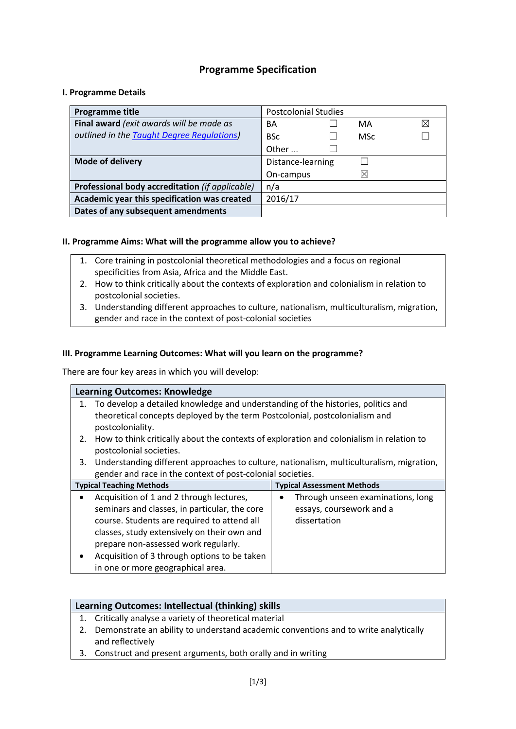# **Programme Specification**

### **I. Programme Details**

| Programme title                                 | <b>Postcolonial Studies</b> |  |            |   |
|-------------------------------------------------|-----------------------------|--|------------|---|
| Final award (exit awards will be made as        | BА                          |  | MA         | ⊠ |
| outlined in the Taught Degree Regulations)      | <b>BSc</b>                  |  | <b>MSc</b> |   |
|                                                 | Other                       |  |            |   |
| <b>Mode of delivery</b>                         | Distance-learning           |  |            |   |
|                                                 | On-campus                   |  | $\times$   |   |
| Professional body accreditation (if applicable) | n/a                         |  |            |   |
| Academic year this specification was created    | 2016/17                     |  |            |   |
| Dates of any subsequent amendments              |                             |  |            |   |

### **II. Programme Aims: What will the programme allow you to achieve?**

- 1. Core training in postcolonial theoretical methodologies and a focus on regional specificities from Asia, Africa and the Middle East.
- 2. How to think critically about the contexts of exploration and colonialism in relation to postcolonial societies.
- 3. Understanding different approaches to culture, nationalism, multiculturalism, migration, gender and race in the context of post-colonial societies

#### **III. Programme Learning Outcomes: What will you learn on the programme?**

There are four key areas in which you will develop:

|           | <b>Learning Outcomes: Knowledge</b>                                                      |                                   |  |  |  |  |
|-----------|------------------------------------------------------------------------------------------|-----------------------------------|--|--|--|--|
|           | 1. To develop a detailed knowledge and understanding of the histories, politics and      |                                   |  |  |  |  |
|           | theoretical concepts deployed by the term Postcolonial, postcolonialism and              |                                   |  |  |  |  |
|           | postcoloniality.                                                                         |                                   |  |  |  |  |
| 2.        | How to think critically about the contexts of exploration and colonialism in relation to |                                   |  |  |  |  |
|           | postcolonial societies.                                                                  |                                   |  |  |  |  |
| 3.        | Understanding different approaches to culture, nationalism, multiculturalism, migration, |                                   |  |  |  |  |
|           | gender and race in the context of post-colonial societies.                               |                                   |  |  |  |  |
|           | <b>Typical Teaching Methods</b>                                                          | <b>Typical Assessment Methods</b> |  |  |  |  |
|           | Acquisition of 1 and 2 through lectures,                                                 | Through unseen examinations, long |  |  |  |  |
|           | seminars and classes, in particular, the core                                            | essays, coursework and a          |  |  |  |  |
|           | course. Students are required to attend all                                              | dissertation                      |  |  |  |  |
|           | classes, study extensively on their own and                                              |                                   |  |  |  |  |
|           | prepare non-assessed work regularly.                                                     |                                   |  |  |  |  |
| $\bullet$ | Acquisition of 3 through options to be taken                                             |                                   |  |  |  |  |
|           | in one or more geographical area.                                                        |                                   |  |  |  |  |

|    | Learning Outcomes: Intellectual (thinking) skills                                   |  |  |  |  |
|----|-------------------------------------------------------------------------------------|--|--|--|--|
|    | 1. Critically analyse a variety of theoretical material                             |  |  |  |  |
| 2. | Demonstrate an ability to understand academic conventions and to write analytically |  |  |  |  |
|    | and reflectively                                                                    |  |  |  |  |
|    |                                                                                     |  |  |  |  |

3. Construct and present arguments, both orally and in writing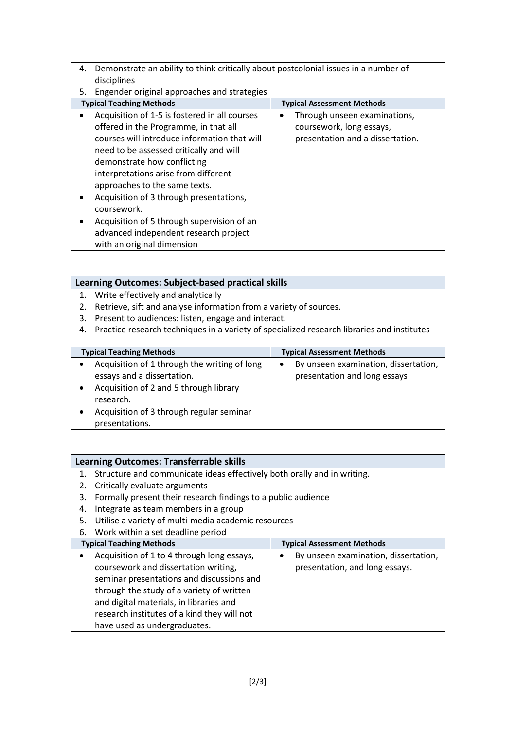- 4. Demonstrate an ability to think critically about postcolonial issues in a number of disciplines
- 5. Engender original approaches and strategies

| <b>Typical Teaching Methods</b>               |           | <b>Typical Assessment Methods</b> |  |
|-----------------------------------------------|-----------|-----------------------------------|--|
| Acquisition of 1-5 is fostered in all courses | $\bullet$ | Through unseen examinations,      |  |
| offered in the Programme, in that all         |           | coursework, long essays,          |  |
| courses will introduce information that will  |           | presentation and a dissertation.  |  |
| need to be assessed critically and will       |           |                                   |  |
| demonstrate how conflicting                   |           |                                   |  |
| interpretations arise from different          |           |                                   |  |
| approaches to the same texts.                 |           |                                   |  |
| Acquisition of 3 through presentations,       |           |                                   |  |
| coursework.                                   |           |                                   |  |
| Acquisition of 5 through supervision of an    |           |                                   |  |
| advanced independent research project         |           |                                   |  |
| with an original dimension                    |           |                                   |  |

|    | Learning Outcomes: Subject-based practical skills                                          |                                      |  |  |  |  |
|----|--------------------------------------------------------------------------------------------|--------------------------------------|--|--|--|--|
|    | 1. Write effectively and analytically                                                      |                                      |  |  |  |  |
| 2. | Retrieve, sift and analyse information from a variety of sources.                          |                                      |  |  |  |  |
| 3. | Present to audiences: listen, engage and interact.                                         |                                      |  |  |  |  |
| 4. | Practice research techniques in a variety of specialized research libraries and institutes |                                      |  |  |  |  |
|    |                                                                                            |                                      |  |  |  |  |
|    | <b>Typical Teaching Methods</b>                                                            | <b>Typical Assessment Methods</b>    |  |  |  |  |
|    | Acquisition of 1 through the writing of long                                               | By unseen examination, dissertation, |  |  |  |  |
|    | essays and a dissertation.                                                                 | presentation and long essays         |  |  |  |  |
| ٠  | Acquisition of 2 and 5 through library                                                     |                                      |  |  |  |  |
|    | research.                                                                                  |                                      |  |  |  |  |
| ٠  | Acquisition of 3 through regular seminar                                                   |                                      |  |  |  |  |
|    | presentations.                                                                             |                                      |  |  |  |  |

# **Learning Outcomes: Transferrable skills**

- 1. Structure and communicate ideas effectively both orally and in writing.
- 2. Critically evaluate arguments
- 3. Formally present their research findings to a public audience
- 4. Integrate as team members in a group
- 5. Utilise a variety of multi-media academic resources
- 6. Work within a set deadline period

| <b>Typical Teaching Methods</b>                         | <b>Typical Assessment Methods</b>    |
|---------------------------------------------------------|--------------------------------------|
| Acquisition of 1 to 4 through long essays,<br>$\bullet$ | By unseen examination, dissertation, |
| coursework and dissertation writing,                    | presentation, and long essays.       |
| seminar presentations and discussions and               |                                      |
| through the study of a variety of written               |                                      |
| and digital materials, in libraries and                 |                                      |
| research institutes of a kind they will not             |                                      |
| have used as undergraduates.                            |                                      |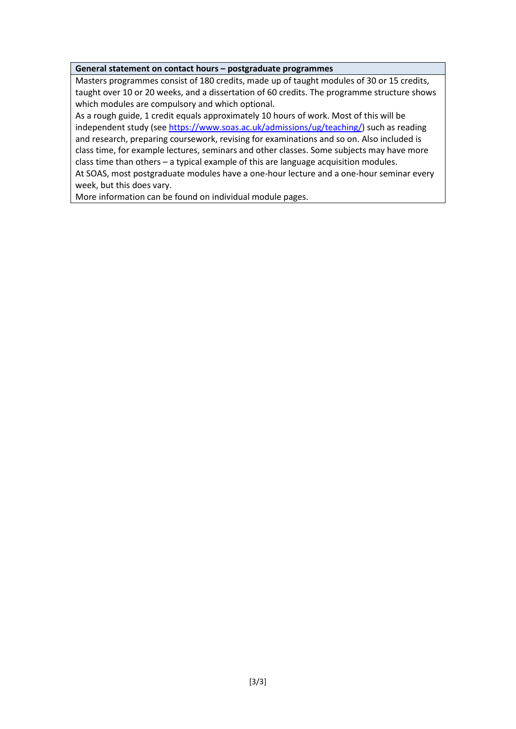#### **General statement on contact hours – postgraduate programmes**

Masters programmes consist of 180 credits, made up of taught modules of 30 or 15 credits, taught over 10 or 20 weeks, and a dissertation of 60 credits. The programme structure shows which modules are compulsory and which optional.

As a rough guide, 1 credit equals approximately 10 hours of work. Most of this will be independent study (see [https://www.soas.ac.uk/admissions/ug/teaching/\)](https://www.soas.ac.uk/admissions/ug/teaching/) such as reading and research, preparing coursework, revising for examinations and so on. Also included is class time, for example lectures, seminars and other classes. Some subjects may have more class time than others – a typical example of this are language acquisition modules. At SOAS, most postgraduate modules have a one-hour lecture and a one-hour seminar every

week, but this does vary.

More information can be found on individual module pages.